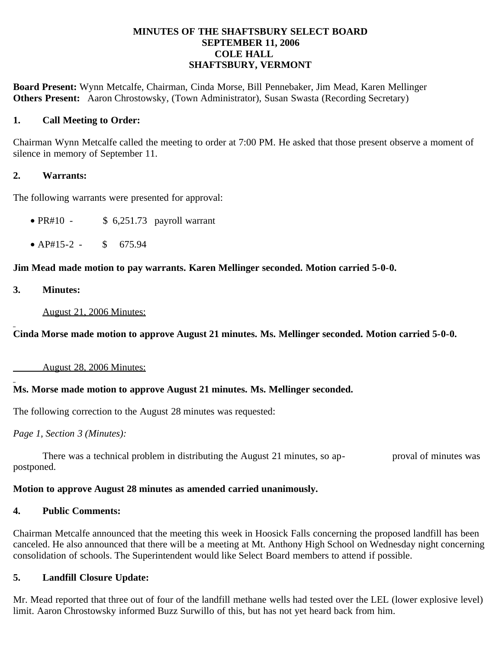## **MINUTES OF THE SHAFTSBURY SELECT BOARD SEPTEMBER 11, 2006 COLE HALL SHAFTSBURY, VERMONT**

**Board Present:** Wynn Metcalfe, Chairman, Cinda Morse, Bill Pennebaker, Jim Mead, Karen Mellinger **Others Present:** Aaron Chrostowsky, (Town Administrator), Susan Swasta (Recording Secretary)

## **1. Call Meeting to Order:**

Chairman Wynn Metcalfe called the meeting to order at 7:00 PM. He asked that those present observe a moment of silence in memory of September 11.

## **2. Warrants:**

The following warrants were presented for approval:

- PR#10  $$6,251.73$  payroll warrant
- $AP#15-2$  \$ 675.94

## **Jim Mead made motion to pay warrants. Karen Mellinger seconded. Motion carried 5-0-0.**

**3. Minutes:**

August 21, 2006 Minutes:

**Cinda Morse made motion to approve August 21 minutes. Ms. Mellinger seconded. Motion carried 5-0-0.**

August 28, 2006 Minutes:

# **Ms. Morse made motion to approve August 21 minutes. Ms. Mellinger seconded.**

The following correction to the August 28 minutes was requested:

*Page 1, Section 3 (Minutes):*

There was a technical problem in distributing the August 21 minutes, so ap- proval of minutes was postponed.

#### **Motion to approve August 28 minutes as amended carried unanimously.**

#### **4. Public Comments:**

Chairman Metcalfe announced that the meeting this week in Hoosick Falls concerning the proposed landfill has been canceled. He also announced that there will be a meeting at Mt. Anthony High School on Wednesday night concerning consolidation of schools. The Superintendent would like Select Board members to attend if possible.

# **5. Landfill Closure Update:**

Mr. Mead reported that three out of four of the landfill methane wells had tested over the LEL (lower explosive level) limit. Aaron Chrostowsky informed Buzz Surwillo of this, but has not yet heard back from him.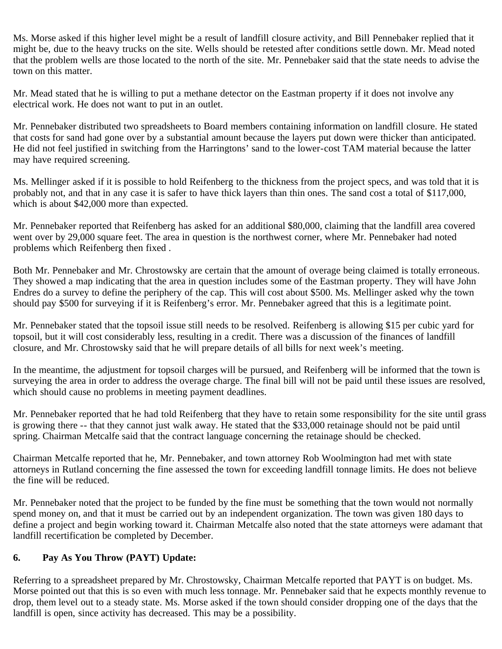Ms. Morse asked if this higher level might be a result of landfill closure activity, and Bill Pennebaker replied that it might be, due to the heavy trucks on the site. Wells should be retested after conditions settle down. Mr. Mead noted that the problem wells are those located to the north of the site. Mr. Pennebaker said that the state needs to advise the town on this matter.

Mr. Mead stated that he is willing to put a methane detector on the Eastman property if it does not involve any electrical work. He does not want to put in an outlet.

Mr. Pennebaker distributed two spreadsheets to Board members containing information on landfill closure. He stated that costs for sand had gone over by a substantial amount because the layers put down were thicker than anticipated. He did not feel justified in switching from the Harringtons' sand to the lower-cost TAM material because the latter may have required screening.

Ms. Mellinger asked if it is possible to hold Reifenberg to the thickness from the project specs, and was told that it is probably not, and that in any case it is safer to have thick layers than thin ones. The sand cost a total of \$117,000, which is about \$42,000 more than expected.

Mr. Pennebaker reported that Reifenberg has asked for an additional \$80,000, claiming that the landfill area covered went over by 29,000 square feet. The area in question is the northwest corner, where Mr. Pennebaker had noted problems which Reifenberg then fixed .

Both Mr. Pennebaker and Mr. Chrostowsky are certain that the amount of overage being claimed is totally erroneous. They showed a map indicating that the area in question includes some of the Eastman property. They will have John Endres do a survey to define the periphery of the cap. This will cost about \$500. Ms. Mellinger asked why the town should pay \$500 for surveying if it is Reifenberg's error. Mr. Pennebaker agreed that this is a legitimate point.

Mr. Pennebaker stated that the topsoil issue still needs to be resolved. Reifenberg is allowing \$15 per cubic yard for topsoil, but it will cost considerably less, resulting in a credit. There was a discussion of the finances of landfill closure, and Mr. Chrostowsky said that he will prepare details of all bills for next week's meeting.

In the meantime, the adjustment for topsoil charges will be pursued, and Reifenberg will be informed that the town is surveying the area in order to address the overage charge. The final bill will not be paid until these issues are resolved, which should cause no problems in meeting payment deadlines.

Mr. Pennebaker reported that he had told Reifenberg that they have to retain some responsibility for the site until grass is growing there -- that they cannot just walk away. He stated that the \$33,000 retainage should not be paid until spring. Chairman Metcalfe said that the contract language concerning the retainage should be checked.

Chairman Metcalfe reported that he, Mr. Pennebaker, and town attorney Rob Woolmington had met with state attorneys in Rutland concerning the fine assessed the town for exceeding landfill tonnage limits. He does not believe the fine will be reduced.

Mr. Pennebaker noted that the project to be funded by the fine must be something that the town would not normally spend money on, and that it must be carried out by an independent organization. The town was given 180 days to define a project and begin working toward it. Chairman Metcalfe also noted that the state attorneys were adamant that landfill recertification be completed by December.

# **6. Pay As You Throw (PAYT) Update:**

Referring to a spreadsheet prepared by Mr. Chrostowsky, Chairman Metcalfe reported that PAYT is on budget. Ms. Morse pointed out that this is so even with much less tonnage. Mr. Pennebaker said that he expects monthly revenue to drop, them level out to a steady state. Ms. Morse asked if the town should consider dropping one of the days that the landfill is open, since activity has decreased. This may be a possibility.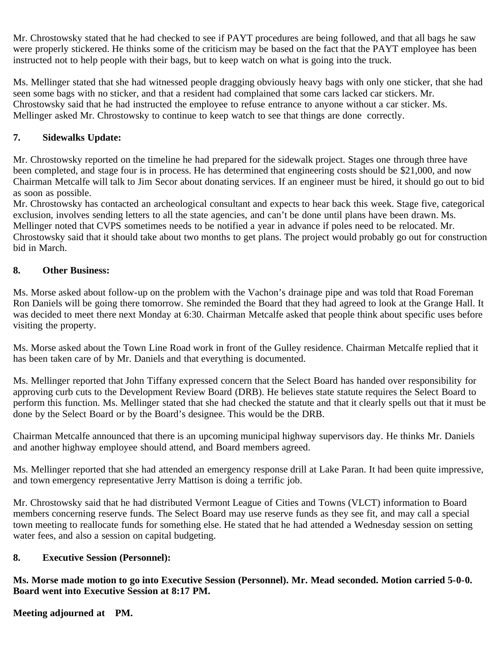Mr. Chrostowsky stated that he had checked to see if PAYT procedures are being followed, and that all bags he saw were properly stickered. He thinks some of the criticism may be based on the fact that the PAYT employee has been instructed not to help people with their bags, but to keep watch on what is going into the truck.

Ms. Mellinger stated that she had witnessed people dragging obviously heavy bags with only one sticker, that she had seen some bags with no sticker, and that a resident had complained that some cars lacked car stickers. Mr. Chrostowsky said that he had instructed the employee to refuse entrance to anyone without a car sticker. Ms. Mellinger asked Mr. Chrostowsky to continue to keep watch to see that things are done correctly.

# **7. Sidewalks Update:**

Mr. Chrostowsky reported on the timeline he had prepared for the sidewalk project. Stages one through three have been completed, and stage four is in process. He has determined that engineering costs should be \$21,000, and now Chairman Metcalfe will talk to Jim Secor about donating services. If an engineer must be hired, it should go out to bid as soon as possible.

Mr. Chrostowsky has contacted an archeological consultant and expects to hear back this week. Stage five, categorical exclusion, involves sending letters to all the state agencies, and can't be done until plans have been drawn. Ms. Mellinger noted that CVPS sometimes needs to be notified a year in advance if poles need to be relocated. Mr. Chrostowsky said that it should take about two months to get plans. The project would probably go out for construction bid in March.

# **8. Other Business:**

Ms. Morse asked about follow-up on the problem with the Vachon's drainage pipe and was told that Road Foreman Ron Daniels will be going there tomorrow. She reminded the Board that they had agreed to look at the Grange Hall. It was decided to meet there next Monday at 6:30. Chairman Metcalfe asked that people think about specific uses before visiting the property.

Ms. Morse asked about the Town Line Road work in front of the Gulley residence. Chairman Metcalfe replied that it has been taken care of by Mr. Daniels and that everything is documented.

Ms. Mellinger reported that John Tiffany expressed concern that the Select Board has handed over responsibility for approving curb cuts to the Development Review Board (DRB). He believes state statute requires the Select Board to perform this function. Ms. Mellinger stated that she had checked the statute and that it clearly spells out that it must be done by the Select Board or by the Board's designee. This would be the DRB.

Chairman Metcalfe announced that there is an upcoming municipal highway supervisors day. He thinks Mr. Daniels and another highway employee should attend, and Board members agreed.

Ms. Mellinger reported that she had attended an emergency response drill at Lake Paran. It had been quite impressive, and town emergency representative Jerry Mattison is doing a terrific job.

Mr. Chrostowsky said that he had distributed Vermont League of Cities and Towns (VLCT) information to Board members concerning reserve funds. The Select Board may use reserve funds as they see fit, and may call a special town meeting to reallocate funds for something else. He stated that he had attended a Wednesday session on setting water fees, and also a session on capital budgeting.

# **8. Executive Session (Personnel):**

**Ms. Morse made motion to go into Executive Session (Personnel). Mr. Mead seconded. Motion carried 5-0-0. Board went into Executive Session at 8:17 PM.**

**Meeting adjourned at PM.**